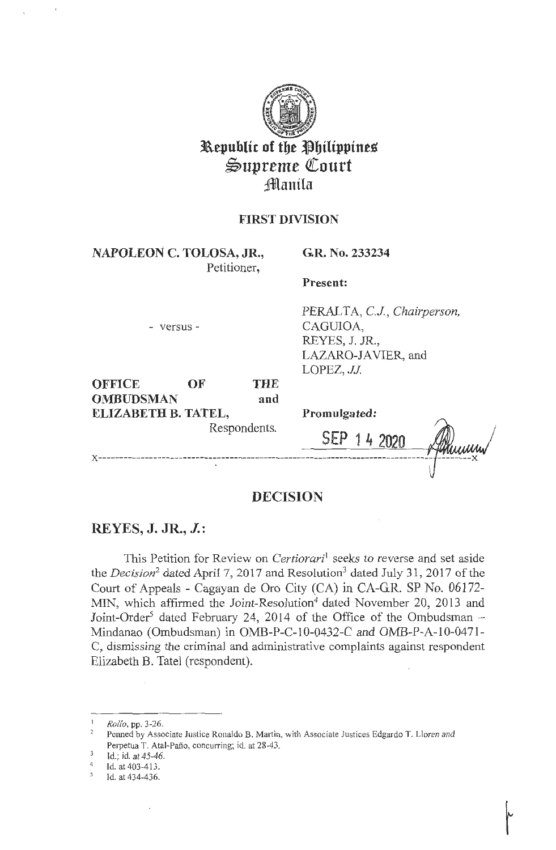

# **Republic of the Philippines**  $\mathfrak{S}$ upreme Court **Jianila**

# **FIRST DIVISION**

**NAPOLEON C. TOLOSA, JR.,**  Petitioner,

**G.R. No. 233234** 

**Present:** 

- versus -

PERALTA, CJ, *Chairperson,*  CAGUIOA, REYES, J. JR., LAZARO-JAVIER, and LOPEZ, JJ.

**OFFICE OF THE OMBUDSMAN and ELIZABETH B. TATEL,** 

Respondents.

**Promulgated:** 

SEP

 $14,2020$ **x ------------------------------------------------------------------------------- --------x** 

# **DECISION**

# **REYES, J. JR., J.:**

This Petition for Review on *Certiorari*<sup>1</sup> seeks to reverse and set aside the *Decision*<sup>2</sup> dated April 7, 2017 and Resolution<sup>3</sup> dated July 31, 2017 of the Court of Appeals - Cagayan de Oro City (CA) in CA-G.R. SP No. 06172- MIN, which affirmed the Joint-Resolution<sup>4</sup> dated November 20, 2013 and Joint-Order<sup>5</sup> dated February 24, 2014 of the Office of the Ombudsman  $-$ Mindanao (Ombudsman) in OMB-P-C-10-0432-C and OMB-P-A-10-0471- C, dismissing the criminal and administrative complaints against respondent Elizabeth **B.** Tatel (respondent).

*Rollo*, pp. 3-26.<br>Penned by Associate Justice Ronaldo B. Martin, with Associate Justices Edgardo T. Lloren and Perpetua T. Atal-Paño, concurring; id. at 28-43.<br>Id.; id. at 45-46.

<sup>4</sup>Id. at 403-413.

<sup>&</sup>lt;sup>5</sup> Id. at 434-436.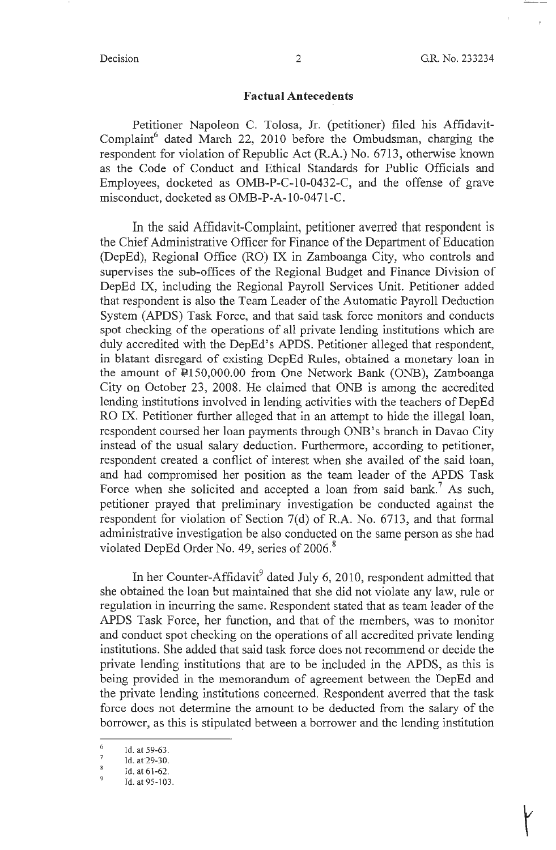#### **Factual Antecedents**

Petitioner Napoleon C. Tolosa, Jr. (petitioner) filed his Affidavit-Complaint<sup>6</sup> dated March 22, 2010 before the Ombudsman, charging the respondent for violation of Republic Act (R.A.) No. 6713, otherwise known as the Code of Conduct and Ethical Standards for Public Officials and Employees, docketed as OMB-P-C-10-0432-C, and the offense of grave misconduct, docketed as OMB-P-A-10-0471-C.

In the said Affidavit-Complaint, petitioner averred that respondent is the Chief Administrative Officer for Finance of the Department of Education (DepEd), Regional Office (RO) IX in Zamboanga City, who controls and supervises the sub-offices of the Regional Budget and Finance Division of DepEd IX, including the Regional Payroll Services Unit. Petitioner added that respondent is also the Team Leader of the Automatic Payroll Deduction System (APDS) Task Force, and that said task force monitors and conducts spot checking of the operations of all private lending institutions which are duly accredited with the DepEd's APDS. Petitioner alleged that respondent, in blatant disregard of existing DepEd Rules, obtained a monetary loan in the amount of Pl 50,000.00 from One Network Bank (ONB), Zamboanga City on October 23, 2008. He claimed that ONB is among the accredited lending institutions involved in lending activities with the teachers of DepEd RO IX. Petitioner further alleged that in an attempt to hide the illegal loan, respondent coursed her loan payments through ONB's branch in Davao City instead of the usual salary deduction. Furthermore, according to petitioner, respondent created a conflict of interest when she availed of the said loan, and had compromised her position as the team leader of the APDS Task Force when she solicited and accepted a loan from said bank.<sup>7</sup> As such, petitioner prayed that preliminary investigation be conducted against the respondent for violation of Section 7(d) of R.A. No. 6713, and that formal administrative investigation be also conducted on the same person as she had violated DepEd Order No. 49, series of  $2006$ .<sup>8</sup>

In her Counter-Affidavit $9$  dated July 6, 2010, respondent admitted that she obtained the loan but maintained that she did not violate any law, rule or regulation in incurring the same. Respondent stated that as team leader of the APDS Task Force, her function, and that of the members, was to monitor and conduct spot checking on the operations of all accredited private lending institutions. She added that said task force does not recommend or decide the private lending institutions that are to be included in the APDS, as this is being provided in the memorandum of agreement between the DepEd and the private lending institutions concerned. Respondent averred that the task force does not determine the amount to be deducted from the salary of the borrower, as this is stipulated between a borrower and the lending institution

 $\frac{6}{7}$  Id. at 59-63.

 $\frac{7}{8}$  Id. at 29-30.

Id. at 61-62.

 $9$  Id. at 95-103.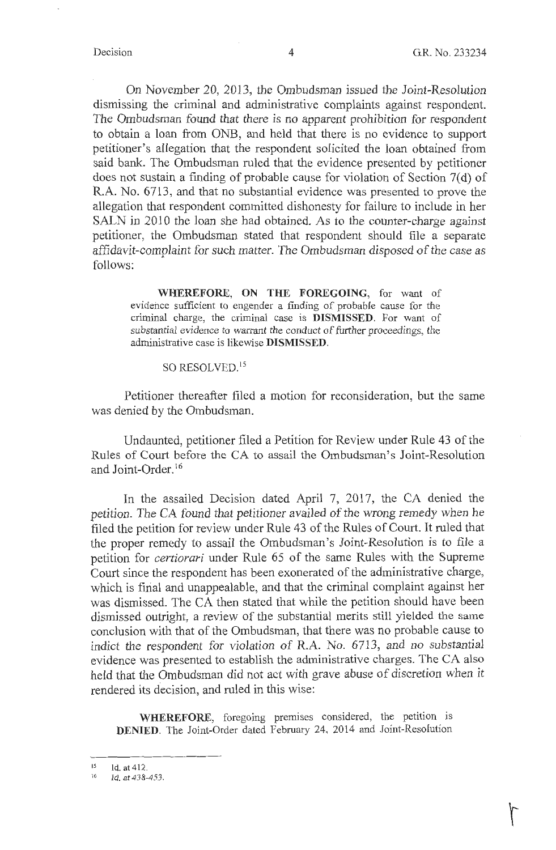On November 20, 2013, the Ombudsman issued the Joint-Resolution dismissing the criminal and administrative complaints against respondent. The Ombudsman found that there is no apparent prohibition for respondent to obtain a loan from ONB, and held that there is no evidence to support petitioner's allegation that the respondent solicited the loan obtained from said bank. The Ombudsman ruled that the evidence presented by petitioner does not sustain a finding of probable cause for violation of Section 7(d) of R.A. No. 6713, and that no substantial evidence was presented to prove the allegation that respondent committed dishonesty for failure to include in her SALN in 2010 the loan she had obtained. As to the counter-charge against petitioner, the Ombudsman stated that respondent should file a separate affidavit-complaint for such matter. The Ombudsman disposed of the case as follows:

**WHEREFORE, ON THE FOREGOING,** for want of evidence sufficient to engender a finding of probable cause for the criminal charge, the criminal case is **DISMISSED.** For want of substantial evidence to warrant the conduct of further proceedings, the administrative case is likewise **DISMISSED.** 

### SO RESOLVED.<sup>15</sup>

Petitioner thereafter filed a motion for reconsideration, but the same was denied by the Ombudsman.

Undaunted, petitioner filed a Petition for Review under Rule 43 of the Rules of Court before the CA to assail the Ombudsman's Joint-Resolution and Joint-Order. 16

In the assailed Decision dated April 7, 2017, the CA denied the petition. The CA found that petitioner availed of the wrong remedy when he filed the petition for review under Rule 43 of the Rules of Court. It ruled that the proper remedy to assail the Ombudsman's Joint-Resolution is to file a petition for *certiorari* under Rule 65 of the same Rules with the Supreme Court since the respondent has been exonerated of the administrative charge, which is final and unappealable, and that the criminal complaint against her was dismissed. The CA then stated that while the petition should have been dismissed outright, a review of the substantial merits still yielded the same conclusion with that of the Ombudsman, that there was no probable cause to indict the respondent for violation of R.A. No. 6713, and no substantial evidence was presented to establish the administrative charges. The CA also held that the Ombudsman did not act with grave abuse of discretion when it rendered its decision, and ruled in this wise:

**WHEREFORE,** foregoing premises considered, the petition is **DENIED.** The Joint-Order dated February 24, 2014 and Joint-Resolution

 $15$  Id. at 412.

Id. at 438-453.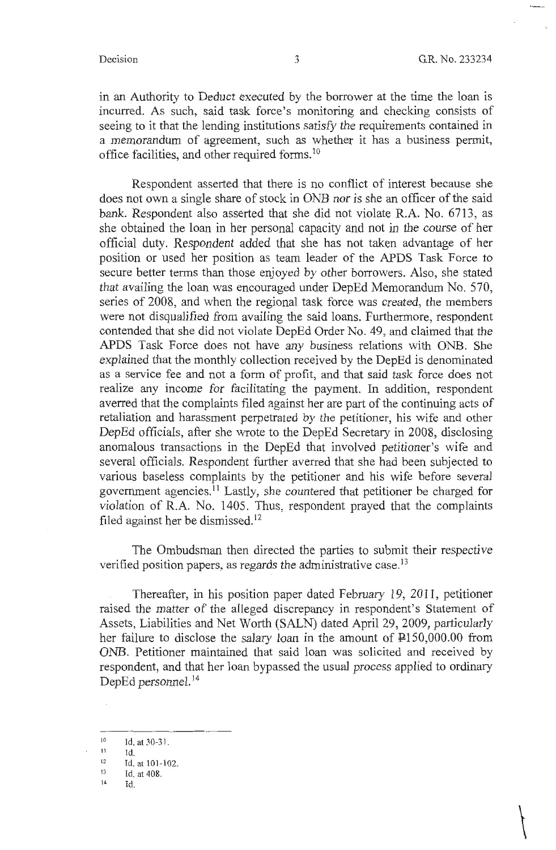$\begin{matrix} \end{matrix}$ 

 $-{\rm -}-{\rm -}-{\rm -}-{\rm -}\sim$ 

in an Authority to Deduct executed by the borrower at the time the loan is incurred. As such, said task force's monitoring and checking consists of seeing to it that the lending institutions satisfy the requirements contained in a memorandum of agreement, such as whether it has a business permit, office facilities, and other required forms. <sup>10</sup>

Respondent asserted that there is no conflict of interest because she does not own a single share of stock in ONB nor is she an officer of the said bank. Respondent also asserted that she did not violate R.A. No. 6713, as she obtained the loan in her personal capacity and not in the course of her official duty. Respondent added that she has not taken advantage of her position or used her position as team leader of the APDS Task Force to secure better terms than those enjoyed by other borrowers. Also, she stated that availing the loan was encouraged under DepEd Memorandum No. 570, series of 2008, and when the regional task force was created, the members were not disqualified from availing the said loans. Furthermore, respondent contended that she did not violate DepEd Order No. 49, and claimed that the APDS Task Force does not have any business relations with ONB. She explained that the monthly collection received by the DepEd is denominated as a service fee and not a form of profit, and that said task force does not realize any income for facilitating the payment. In addition, respondent averred that the complaints filed against her are part of the continuing acts of retaliation and harassment perpetrated by the petitioner, his wife and other DepEd officials, after she wrote to the DepEd Secretary in 2008, disclosing anomalous transactions in the DepEd that involved petitioner's wife and several officials. Respondent further averred that she had been subjected to various baseless complaints by the petitioner and his wife before several government agencies. 11 Lastly, she countered that petitioner be charged for violation of R.A. No. 1405. Thus, respondent prayed that the complaints filed against her be dismissed. 12

The Ombudsman then directed the parties to submit their respective verified position papers, as regards the administrative case.<sup>13</sup>

Thereafter, in his position paper dated February 19, 2011, petitioner raised the matter of the alleged discrepancy in respondent's Statement of Assets, Liabilities and Net Worth (SALN) dated April 29, 2009, particularly her failure to disclose the salary loan in the amount of P150,000.00 from ONB. Petitioner maintained that said loan was solicited and received by respondent, and that her loan bypassed the usual process applied to ordinary DepEd personnel.<sup>14</sup>

 $\frac{10}{11}$  Id. at 30-31.

 $11$  Id.

<sup>&</sup>lt;sup>12</sup> Id. at 101-102.<br><sup>13</sup> Id. at 408.

**<sup>14</sup>**Id.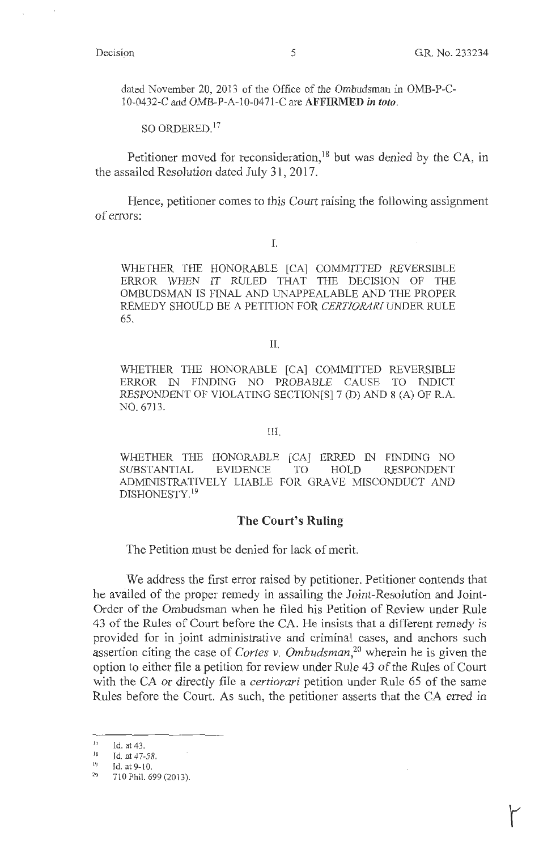dated November 20, 2013 of the Office of the Ombudsman in OMB-P-C-10-0432-C and OMB-P-A-10-0471-C are **AFFIRMED** *in toto.* 

SO ORDERED. <sup>17</sup>

Petitioner moved for reconsideration,  $18$  but was denied by the CA, in the assailed Resolution dated July 31, 2017.

Hence, petitioner comes to this Court raising the following assignment of errors:

I.

WHETHER THE HONORABLE [CA] COMMITTED REVERSIBLE ERROR WHEN IT RULED THAT THE DECISION OF THE OMBUDSMAN IS FINAL AND UNAPPEALABLE AND THE PROPER REMEDY SHOULD BE A PETITION FOR *CERTIORARI* UNDER RULE 65.

II.

WHETHER THE HONORABLE [CA] COMMITTED REVERSIBLE ERROR IN FINDING NO PROBABLE CAUSE TO INDICT RESPONDENT OF VIOLATING SECTION[S] 7 (D) AND 8 (A) OF R.A. NO. 6713.

III.

WHETHER THE HONORABLE [CA] ERRED IN FINDING NO SUBSTANTIAL EVIDENCE TO HOLD RESPONDENT ADMINISTRATIVELY LIABLE FOR GRAVE MISCONDUCT AND DISHONESTY.<sup>19</sup>

### **The Court's Ruling**

The Petition must be denied for lack of merit.

We address the first error raised by petitioner. Petitioner contends that he availed of the proper remedy in assailing the Joint-Resolution and Joint-Order of the Ombudsman when he filed his Petition of Review under Rule 43 of the Rules of Court before the CA. He insists that a different remedy is provided for in joint administrative and criminal cases, and anchors such assertion citing the case of *Cortes v. Ombudsman,<sup>20</sup>*wherein he is given the option to either file a petition for review under Rule 43 of the Rules of Court with the CA or directly file a *certiorari* petition under Rule 65 of the same Rules before the Court. As such, the petitioner asserts that the CA erred in

 $17$  Id. at 43.

Id. at 47-58.

<sup>&</sup>lt;sup>19</sup> Id. at 9-10.<br><sup>20</sup> 710 Phil. 699 (2013).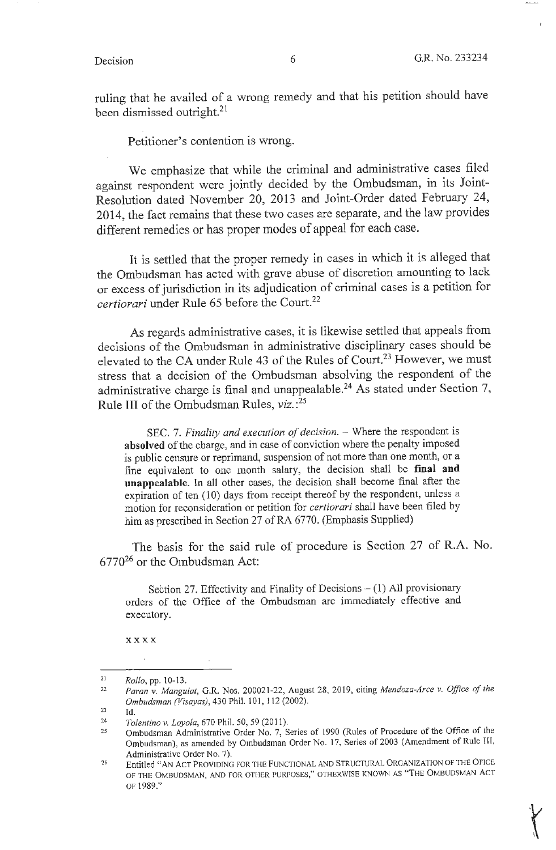ruling that he availed of a wrong remedy and that his petition should have been dismissed outright.<sup>21</sup>

Petitioner's contention is wrong.

We emphasize that while the criminal and administrative cases filed against respondent were jointly decided by the Ombudsman, in its Joint-Resolution dated November 20, 2013 and Joint-Order dated February 24, 2014, the fact remains that these two cases are separate, and the law provides different remedies or has proper modes of appeal for each case.

It is settled that the proper remedy in cases in which it is alleged that the Ombudsman has acted with grave abuse of discretion amounting to lack or excess of jurisdiction in its adjudication of criminal cases is a petition for *certiorari* under Rule 65 before the Court.<sup>22</sup>

As regards administrative cases, it is likewise settled that appeals from decisions of the Ombudsman in administrative disciplinary cases should be elevated to the CA under Rule 43 of the Rules of Court.<sup>23</sup> However, we must stress that a decision of the Ombudsman absolving the respondent of the administrative charge is final and unappealable.<sup>24</sup> As stated under Section 7, Rule III of the Ombudsman Rules, *viz.* : 25

SEC. 7. *Finality and execution of decision*. – Where the respondent is **absolved** of the charge, and in case of conviction where the penalty imposed is public censure or reprimand, suspension of not more than one month, or a fine equivalent to one month salary, the decision shall be **final and unappcalable.** In all other cases, the decision shall become final after the expiration of ten (10) days from receipt thereof by the respondent, unless a motion for reconsideration or petition for *certiorari* shall have been filed by him as prescribed in Section 27 of RA 6770. (Emphasis Supplied)

The basis for the said rule of procedure is Section 27 of R.A. No.  $6770^{26}$  or the Ombudsman Act:

Section 27. Effectivity and Finality of Decisions  $- (1)$  All provisionary orders of the Office of the Ombudsman are immediately effective and executory.

**xxxx** 

 $\alpha$ 

<sup>21</sup>  *Rollo,* pp. 10-13.

<sup>22</sup>  *Paran* v. *Manguiat,* **G.R.** Nos. 200021-22, August 28, 2019, citing *Mendoza-Arce* v. *Office of the Ombudsman (Visayas),* 430 Phil. 101, 112 (2002).

<sup>23</sup>  Id.

<sup>24</sup>  *Tolentino* v. *Loyola,* 670 Phil. 50, 59 (2011).

<sup>25</sup>  Ombudsman Administrative Order No. 7, Series of 1990 (Rules of Procedure of the Office of the Ombudsman), as amended by Ombudsman Order No. 17, Series of 2003 (Amendment of Rule Ill, Administrative Order No. 7).

<sup>26</sup>  Entitled "AN ACT PROVIDfNG FOR THE FUNCTIONAL AND STRUCTURAL ORGANIZATION OF THE OFICE OF THE OMBUDSMAN, AND FOR OTHER PURPOSES," OTHERWISE KNOWN AS "THE OMBUDSMAN ACT OF 1989."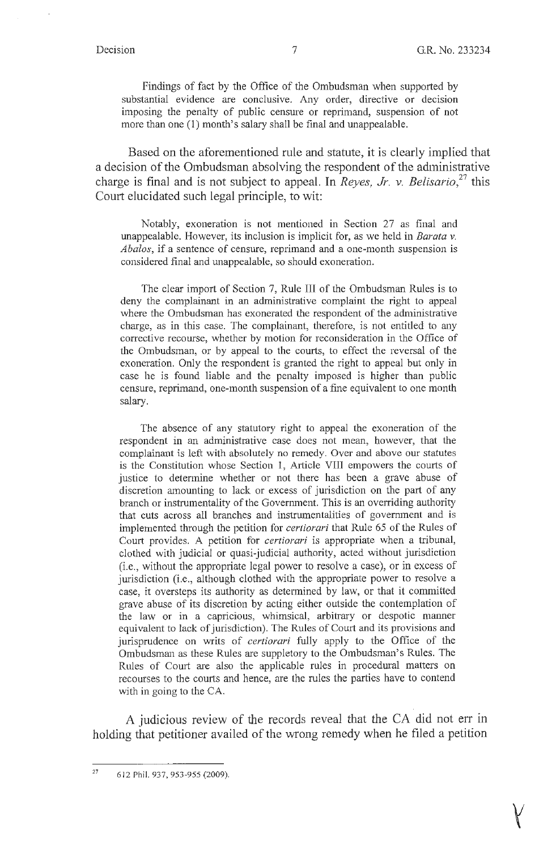$\mathsf{Y}$ 

Findings of fact by the Office of the Ombudsman when supported by substantial evidence are conclusive. Any order, directive or decision imposing the penalty of public censure or reprimand, suspension of not more than one (1) month's salary shall be final and unappealable.

Based on the aforementioned rule and statute, it is clearly implied that a decision of the Ombudsman absolving the respondent of the administrative charge is final and is not subject to appeal. In *Reyes, Jr. v. Belisario*,<sup>27</sup> this Court elucidated such legal principle, to wit:

Notably, exoneration is not mentioned in Section 27 as final and unappealable. However, its inclusion is implicit for, as we held in *Barata v. Abalos,* if a sentence of censure, reprimand and a one-month suspension is considered final and unappealable, so should exoneration.

The clear import of Section 7, Rule III of the Ombudsman Rules is to deny the complainant in an administrative complaint the right to appeal where the Ombudsman has exonerated the respondent of the administrative charge, as in this case. The complainant, therefore, is not entitled to any corrective recourse, whether by motion for reconsideration in the Office of the Ombudsman, or by appeal to the courts, to effect the reversal of the exoneration. Only the respondent is granted the right to appeal but only in case he is found liable and the penalty imposed is higher than public censure, reprimand, one-month suspension of a fine equivalent to one month salary.

The absence of any statutory right to appeal the exoneration of the respondent in an administrative case does not mean, however, that the complainant is left with absolutely no remedy. Over and above our statutes is the Constitution whose Section 1, Article VIII empowers the courts of justice to determine whether or not there has been a grave abuse of discretion amounting to lack or excess of jurisdiction on the part of any branch or instrumentality of the Govermnent. This is an oveniding authority that cuts across all branches and instrumentalities of government and is implemented through the petition for *certiorari* that Rule 65 of the Rules of Court provides. A petition for *certiorari* is appropriate when a tribunal, clothed with judicial or quasi-judicial authority, acted without jurisdiction (i.e., without the appropriate legal power to resolve a case), or in excess of jurisdiction (i.e., although clothed with the appropriate power to resolve a case, it oversteps its authority as determined by law, or that it committed grave abuse of its discretion by acting either outside the contemplation of the law or in a capricious, whimsical, arbitrary or despotic manner equivalent to lack of jurisdiction). The Rules of Court and its provisions and jurisprudence on writs of *certiorari* fully apply to the Office of the Ombudsman as these Rules are suppletory to the Ombudsman's Rules. The Rules of Court are also the applicable rules in procedural matters on recourses to the courts and hence, are the rules the parties have to contend with in going to the CA.

A judicious review of the records reveal that the CA did not err in holding that petitioner availed of the wrong remedy when he filed a petition

 $27$  612 Phil. 937, 953-955 (2009).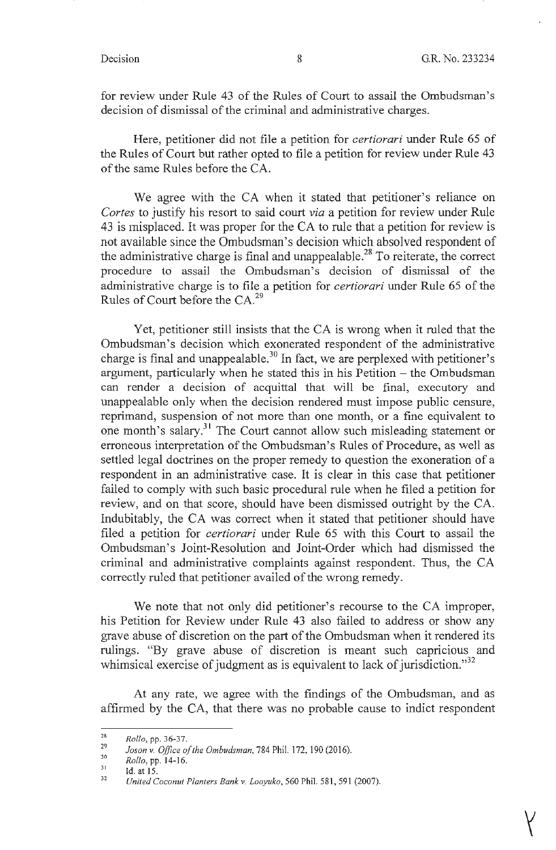for review under Rule 43 of the Rules of Court to assail the Ombudsman's decision of dismissal of the criminal and administrative charges.

Here, petitioner did not file a petition for *certiorari* under Rule 65 of the Rules of Court but rather opted to file a petition for review under Rule 43 of the same Rules before the CA.

We agree with the CA when it stated that petitioner's reliance on *Cortes* to justify his resort to said court *via* a petition for review under Rule 43 is misplaced. It was proper for the CA to rule that a petition for review is not available since the Ombudsman's decision which absolved respondent of the administrative charge is final and unappealable.<sup>28</sup> To reiterate, the correct procedure to assail the Ombudsman's decision of dismissal of the administrative charge is to file a petition for *certiorari* under Rule 65 of the Rules of Court before the CA.<sup>29</sup>

Yet, petitioner still insists that the CA is wrong when it ruled that the Ombudsman's decision which exonerated respondent of the administrative charge is final and unappealable.<sup>30</sup> In fact, we are perplexed with petitioner's argument, particularly when he stated this in his Petition  $-$  the Ombudsman can render a decision of acquittal that will be final, executory and unappealable only when the decision rendered must impose public censure, reprimand, suspension of not more than one month, or a fine equivalent to one month's salary.<sup>31</sup> The Court cannot allow such misleading statement or erroneous interpretation of the Ombudsman's Rules of Procedure, as well as settled legal doctrines on the proper remedy to question the exoneration of a respondent in an administrative case. It is clear in this case that petitioner failed to comply with such basic procedural rule when he filed a petition for review, and on that score, should have been dismissed outright by the CA. Indubitably, the CA was correct when it stated that petitioner should have filed a petition for *certiorari* under Rule 65 with this Court to assail the Ombudsman's Joint-Resolution and Joint-Order which had dismissed the criminal and administrative complaints against respondent. Thus, the CA correctly ruled that petitioner availed of the wrong remedy.

We note that not only did petitioner's recourse to the CA improper, his Petition for Review under Rule 43 also failed to address or show any grave abuse of discretion on the part of the Ombudsman when it rendered its rulings. "By grave abuse of discretion is meant such capricious and whimsical exercise of judgment as is equivalent to lack of jurisdiction."<sup>32</sup>

At any rate, we agree with the findings of the Ombudsman, and as affirmed by the CA, that there was no probable cause to indict respondent

<sup>28</sup>  *Rollo,* pp. 36-37.

<sup>29</sup>  30 *Jason* v. *Office of the Ombudsman,* 784 Phil. 172, 190 (2016).

*Rollo*, pp. 14-16.

<sup>31</sup>  32 Id.at 15.

*United Coconut Planters Bank* v. *Looyuko,* 560 Phil. 581, 59 1 (2007).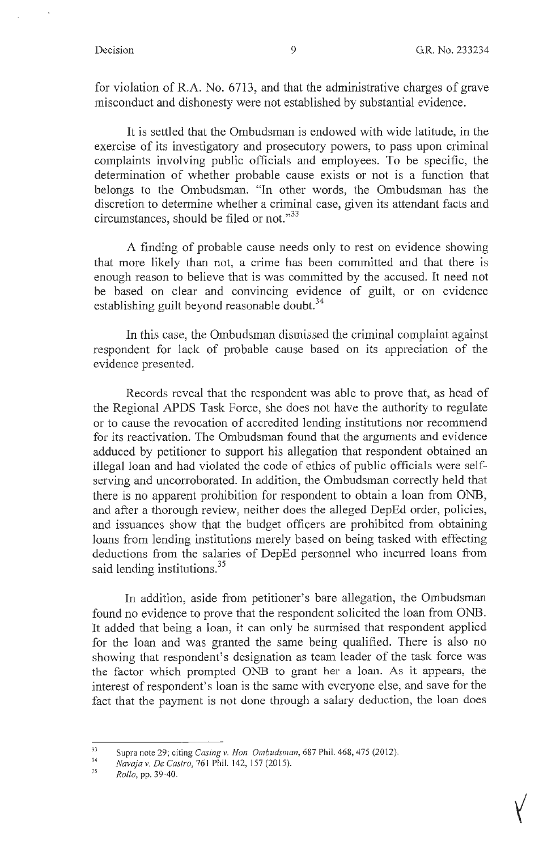for violation of R.A. No. 6713, and that the administrative charges of grave misconduct and dishonesty were not established by substantial evidence.

It is settled that the Ombudsman is endowed with wide latitude, in the exercise of its investigatory and prosecutory powers, to pass upon criminal complaints involving public officials and employees. To be specific, the determination of whether probable cause exists or not is a function that belongs to the Ombudsman. "In other words, the Ombudsman has the discretion to determine whether a criminal case, given its attendant facts and circumstances, should be filed or not."<sup>33</sup>

A finding of probable cause needs only to rest on evidence showing that more likely than not, a crime has been committed and that there is enough reason to believe that is was committed by the accused. It need not be based on clear and convincing evidence of guilt, or on evidence establishing guilt beyond reasonable doubt. $34$ 

In this case, the Ombudsman dismissed the criminal complaint against respondent for lack of probable cause based on its appreciation of the evidence presented.

Records reveal that the respondent was able to prove that, as head of the Regional APDS Task Force, she does not have the authority to regulate or to cause the revocation of accredited lending institutions nor recommend for its reactivation. The Ombudsman found that the arguments and evidence adduced by petitioner to support his allegation that respondent obtained an illegal loan and had violated the code of ethics of public officials were selfserving and uncorroborated. In addition, the Ombudsman correctly held that there is no apparent prohibition for respondent to obtain a loan from ONB, and after a thorough review, neither does the alleged DepEd order, policies, and issuances show that the budget officers are prohibited from obtaining loans from lending institutions merely based on being tasked with effecting deductions from the salaries of DepEd personnel who incurred loans from said lending institutions.<sup>35</sup>

In addition, aside from petitioner's bare allegation, the Ombudsman found no evidence to prove that the respondent solicited the loan from ONB. It added that being a loan, it can only be surmised that respondent applied for the loan and was granted the same being qualified. There is also no showing that respondent's designation as team leader of the task force was the factor which prompted ONB to grant her a loan. As it appears, the interest of respondent's loan is the same with everyone else, and save for the fact that the payment is not done through a salary deduction, the loan does

<sup>33</sup> Supra note 29; citing *Casing v. Hon. Ombudsman*, 687 Phil. 468, 475 (2012).

<sup>34</sup>  *Navaja v. De Castro,* 761 Phil. 142, 157 (2015).

<sup>35</sup>  *Rollo,* pp. 39-40.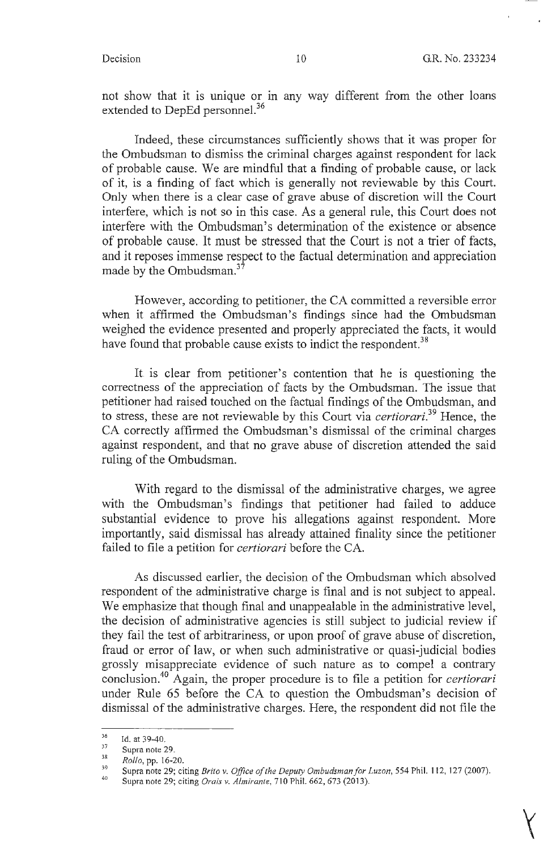not show that it is unique or in any way different from the other loans extended to DepEd personnel.<sup>36</sup>

Indeed, these circumstances sufficiently shows that it was proper for the Ombudsman to dismiss the criminal charges against respondent for lack of probable cause. We are mindful that a finding of probable cause, or lack of it, is a finding of fact which is generally not reviewable by this Court. Only when there is a clear case of grave abuse of discretion will the Court interfere, which is not so in this case. As a general rule, this Court does not interfere with the Ombudsman's determination of the existence or absence of probable cause. It must be stressed that the Court is not a trier of facts, and it reposes immense respect to the factual determination and appreciation made by the Ombudsman.<sup>37</sup>

However, according to petitioner, the CA committed a reversible error when it affirmed the Ombudsman's findings since had the Ombudsman weighed the evidence presented and properly appreciated the facts, it would have found that probable cause exists to indict the respondent.<sup>38</sup>

It is clear from petitioner's contention that he is questioning the correctness of the appreciation of facts by the Ombudsman. The issue that petitioner had raised touched on the factual findings of the Ombudsman, and to stress, these are not reviewable by this Court via *certiorari.*<sup>39</sup> Hence, the CA correctly affirmed the Ombudsman's dismissal of the criminal charges against respondent, and that no grave abuse of discretion attended the said ruling of the Ombudsman.

With regard to the dismissal of the administrative charges, we agree with the Ombudsman's findings that petitioner had failed to adduce substantial evidence to prove his allegations against respondent. More importantly, said dismissal has already attained finality since the petitioner failed to file a petition for *certiorari* before the CA.

As discussed earlier, the decision of the Ombudsman which absolved respondent of the administrative charge is final and is not subject to appeal. We emphasize that though final and unappealable in the administrative level, the decision of administrative agencies is still subject to judicial review if they fail the test of arbitrariness, or upon proof of grave abuse of discretion, fraud or error of law, or when such administrative or quasi-judicial bodies grossly misappreciate evidence of such nature as to compel a contrary conclusion.<sup>40 Again, the proper procedure is to file a petition for *certiorari*</sup> under Rule 65 before the CA to question the Ombudsman's decision of dismissal of the administrative charges. Here, the respondent did not file the

 $rac{36}{37}$  Id. at 39-40.

<sup>38</sup>  Supra note 29.

*Rollo,* pp. 16-20.

<sup>39</sup>  40 Supra note 29; citing *Brito v. Office of the Deputy Ombudsman/or Luzon,* 554 Phil. 112, 127 (2007).

Supra note 29; citing *Orais v. Almirante,* 710 Phil. 662,673 (2013).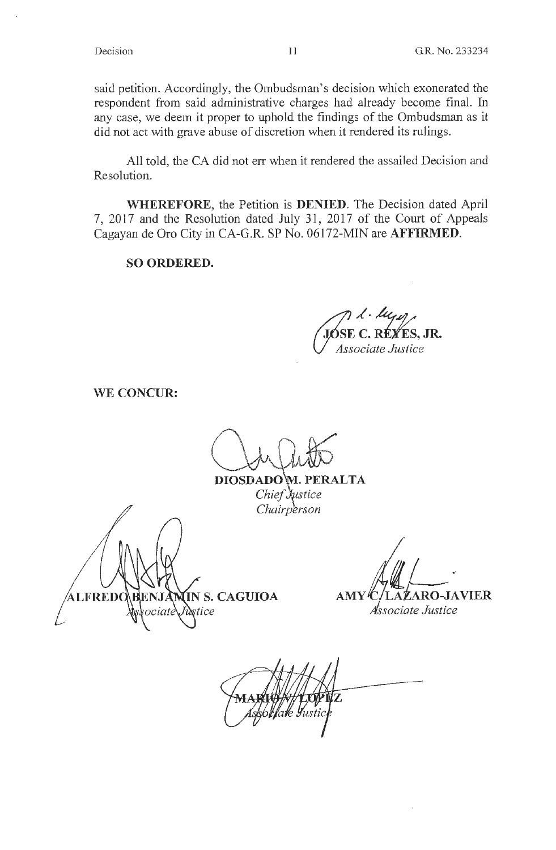said petition. Accordingly, the Ombudsman's decision which exonerated the respondent from said administrative charges had already become final. In any case, we deem it proper to uphold the findings of the Ombudsman as it did not act with grave abuse of discretion when it rendered its rulings.

All told, the CA did not err when it rendered the assailed Decision and Resolution.

**WHEREFORE,** the Petition is **DENIED.** The Decision dated April 7, 2017 and the Resolution dated July 31, 2017 of the Court of Appeals Cagayan de Oro City in CA-G.R. SP No. 06172-MIN are **AFFIRMED.** 

## **SO ORDERED.**

E C. RÉYES. JR. Associate Justice

**WE CONCUR:** 

DIOSDADOW. PERALTA Chief Justice Chairperson

IN S. CAGUIOA **\LFREDO** stice

*AMY C/LAZARO-JAVIER* 

*Associate Justice*